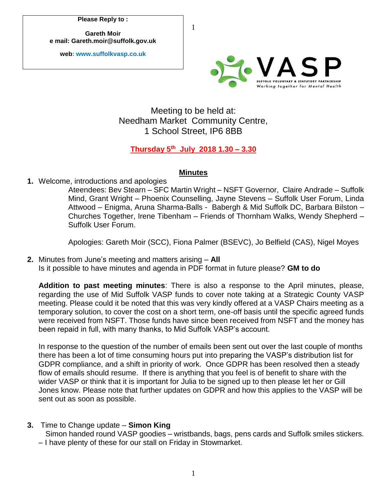**Please Reply to :**

**Gareth Moir e mail: Gareth.moir@suffolk.gov.uk**

**web: www.suffolkvasp.co.uk**



## Meeting to be held at: Needham Market Community Centre, 1 School Street, IP6 8BB

1

## **Thursday 5 th July 2018 1.30 – 3.30**

## **Minutes**

**1.** Welcome, introductions and apologies

Ateendees: Bev Stearn – SFC Martin Wright – NSFT Governor, Claire Andrade – Suffolk Mind, Grant Wright – Phoenix Counselling, Jayne Stevens – Suffolk User Forum, Linda Attwood – Enigma, Aruna Sharma-Balls - Babergh & Mid Suffolk DC, Barbara Bilston – Churches Together, Irene Tibenham – Friends of Thornham Walks, Wendy Shepherd – Suffolk User Forum.

Apologies: Gareth Moir (SCC), Fiona Palmer (BSEVC), Jo Belfield (CAS), Nigel Moyes

**2.** Minutes from June's meeting and matters arising – **All** Is it possible to have minutes and agenda in PDF format in future please? **GM to do**

**Addition to past meeting minutes**: There is also a response to the April minutes, please, regarding the use of Mid Suffolk VASP funds to cover note taking at a Strategic County VASP meeting. Please could it be noted that this was very kindly offered at a VASP Chairs meeting as a temporary solution, to cover the cost on a short term, one-off basis until the specific agreed funds were received from NSFT. Those funds have since been received from NSFT and the money has been repaid in full, with many thanks, to Mid Suffolk VASP's account.

In response to the question of the number of emails been sent out over the last couple of months there has been a lot of time consuming hours put into preparing the VASP's distribution list for GDPR compliance, and a shift in priority of work. Once GDPR has been resolved then a steady flow of emails should resume. If there is anything that you feel is of benefit to share with the wider VASP or think that it is important for Julia to be signed up to then please let her or Gill Jones know. Please note that further updates on GDPR and how this applies to the VASP will be sent out as soon as possible.

**3.** Time to Change update – **Simon King** 

Simon handed round VASP goodies – wristbands, bags, pens cards and Suffolk smiles stickers. – I have plenty of these for our stall on Friday in Stowmarket.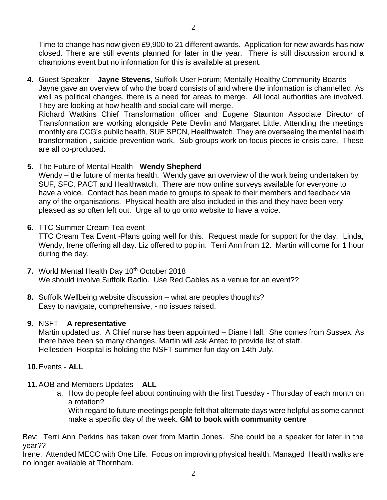Time to change has now given £9,900 to 21 different awards. Application for new awards has now closed. There are still events planned for later in the year. There is still discussion around a champions event but no information for this is available at present.

**4.** Guest Speaker – **Jayne Stevens**, Suffolk User Forum; Mentally Healthy Community Boards Jayne gave an overview of who the board consists of and where the information is channelled. As well as political changes, there is a need for areas to merge. All local authorities are involved. They are looking at how health and social care will merge.

Richard Watkins Chief Transformation officer and Eugene Staunton Associate Director of Transformation are working alongside Pete Devlin and Margaret Little. Attending the meetings monthly are CCG's public health, SUF SPCN, Healthwatch. They are overseeing the mental health transformation , suicide prevention work. Sub groups work on focus pieces ie crisis care. These are all co-produced.

**5.** The Future of Mental Health - **Wendy Shepherd**

Wendy – the future of menta health. Wendy gave an overview of the work being undertaken by SUF, SFC, PACT and Healthwatch. There are now online surveys available for everyone to have a voice. Contact has been made to groups to speak to their members and feedback via any of the organisations. Physical health are also included in this and they have been very pleased as so often left out. Urge all to go onto website to have a voice.

**6.** TTC Summer Cream Tea event

TTC Cream Tea Event -Plans going well for this. Request made for support for the day. Linda, Wendy, Irene offering all day. Liz offered to pop in. Terri Ann from 12. Martin will come for 1 hour during the day.

- **7.** World Mental Health Day 10th October 2018 We should involve Suffolk Radio. Use Red Gables as a venue for an event??
- **8.** Suffolk Wellbeing website discussion what are peoples thoughts? Easy to navigate, comprehensive, - no issues raised.

## **9.** NSFT – **A representative**

Martin updated us. A Chief nurse has been appointed – Diane Hall. She comes from Sussex. As there have been so many changes, Martin will ask Antec to provide list of staff. Hellesden Hospital is holding the NSFT summer fun day on 14th July.

- **10.**Events **ALL**
- **11.**AOB and Members Updates **ALL**
	- a. How do people feel about continuing with the first Tuesday Thursday of each month on a rotation?

With regard to future meetings people felt that alternate days were helpful as some cannot make a specific day of the week. **GM to book with community centre**

Bev: Terri Ann Perkins has taken over from Martin Jones. She could be a speaker for later in the year??

Irene: Attended MECC with One Life. Focus on improving physical health. Managed Health walks are no longer available at Thornham.